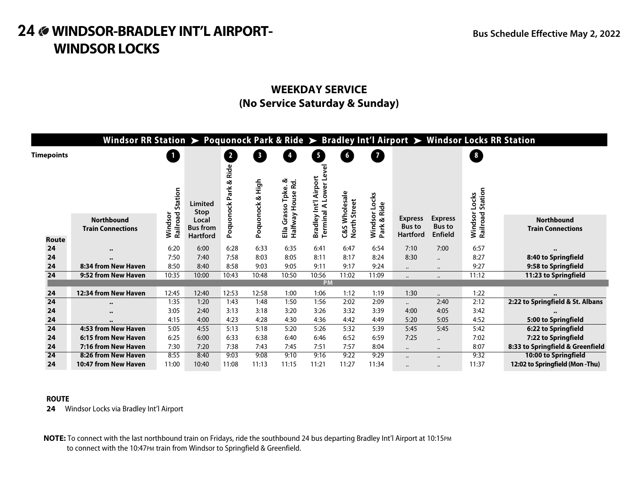# **24 WINDSOR-BRADLEY INT'L AIRPORT- Bus Schedule Effective May 2, 2022 WINDSOR LOCKS**

### **WEEKDAY SERVICE (No Service Saturday & Sunday)**

|                 | Windsor RR Station > Poquonock Park & Ride > Bradley Int'l Airport > Windsor Locks RR Station |                     |                          |                                |                         |                                      |                              |                            |                      |                                 |                                 |                     |                                               |
|-----------------|-----------------------------------------------------------------------------------------------|---------------------|--------------------------|--------------------------------|-------------------------|--------------------------------------|------------------------------|----------------------------|----------------------|---------------------------------|---------------------------------|---------------------|-----------------------------------------------|
| Timepoints      |                                                                                               | $\mathbf{1}$        |                          | $\overline{\mathbf{2}}$        | $\overline{\mathbf{3}}$ |                                      | Ø                            | 6                          | $\overline{7}$       |                                 |                                 | $\frac{1}{8}$       |                                               |
|                 |                                                                                               | Station             | Limited<br>Stop          | Ride<br>త<br>Park<br>Poquonock | High<br>త<br>녻          | త<br>Rd.<br>Tpke.<br>š<br>ន្ល<br>ûï. | ह<br>Φ<br>Airport<br>ō<br>Š  | Wholesale<br><b>Street</b> | Locks<br>& Ride      |                                 |                                 | Station<br>Locks    |                                               |
|                 | <b>Northbound</b><br><b>Train Connections</b>                                                 | Railroad<br>Windsor | Local<br><b>Bus from</b> |                                | anono                   | Halfway<br>Ğ                         | <b>Terminal A</b><br>Bradley | <b>North</b>               | sor<br>Wind:<br>Park | <b>Express</b><br><b>Bus to</b> | <b>Express</b><br><b>Bus to</b> | Windsor<br>Railroad | <b>Northbound</b><br><b>Train Connections</b> |
| <b>Route</b>    |                                                                                               |                     | <b>Hartford</b>          |                                | ě                       | 믑                                    |                              | C&S                        |                      | Hartford                        | <b>Enfield</b>                  |                     |                                               |
| 24              | $\bullet\bullet$                                                                              | 6:20                | 6:00                     | 6:28                           | 6:33                    | 6:35                                 | 6:41                         | 6:47                       | 6:54                 | 7:10                            | 7:00                            | 6:57                | $\bullet$                                     |
| 24              |                                                                                               | 7:50                | 7:40                     | 7:58                           | 8:03                    | 8:05                                 | 8:11                         | 8:17                       | 8:24                 | 8:30                            | $\cdots$                        | 8:27                | 8:40 to Springfield                           |
| 24              | 8:34 from New Haven                                                                           | 8:50                | 8:40                     | 8:58                           | 9:03                    | 9:05                                 | 9:11                         | 9:17                       | 9:24                 | $\cdots$                        | $\bullet\bullet$                | 9:27                | 9:58 to Springfield                           |
| 24              | 9:52 from New Haven                                                                           | 10:35               | 10:00                    | 10:43                          | 10:48                   | 10:50                                | 10:56                        | 11:02                      | 11:09                |                                 |                                 | 11:12               | 11:23 to Springfield                          |
|                 |                                                                                               |                     |                          |                                |                         |                                      | <b>PM</b>                    |                            |                      |                                 |                                 |                     |                                               |
| 24              | 12:34 from New Haven                                                                          | 12:45               | 12:40                    | 12:53                          | 12:58                   | 1:00                                 | 1:06                         | 1:12                       | 1:19                 | 1:30                            | $\ddotsc$                       | 1:22                |                                               |
| 24              | $\bullet\bullet$                                                                              | 1:35                | 1:20                     | 1:43                           | 1:48                    | 1:50                                 | 1:56                         | 2:02                       | 2:09                 | $\ddotsc$                       | 2:40                            | 2:12                | 2:22 to Springfield & St. Albans              |
| 24              | $\bullet\bullet$                                                                              | 3:05                | 2:40                     | 3:13                           | 3:18                    | 3:20                                 | 3:26                         | 3:32                       | 3:39                 | 4:00                            | 4:05                            | 3:42                |                                               |
| 24              |                                                                                               | 4:15                | 4:00                     | 4:23                           | 4:28                    | 4:30                                 | 4:36                         | 4:42                       | 4:49                 | 5:20                            | 5:05                            | 4:52                | 5:00 to Springfield                           |
| 24              | 4:53 from New Haven                                                                           | 5:05                | 4:55                     | 5:13                           | 5:18                    | 5:20                                 | 5:26                         | 5:32                       | 5:39                 | 5:45                            | 5:45                            | 5:42                | 6:22 to Springfield                           |
| 24              | 6:15 from New Haven                                                                           | 6:25                | 6:00                     | 6:33                           | 6:38                    | 6:40                                 | 6:46                         | 6:52                       | 6:59                 | 7:25                            | $\cdots$                        | 7:02                | 7:22 to Springfield                           |
| 24              | 7:16 from New Haven                                                                           | 7:30                | 7:20                     | 7:38                           | 7:43                    | 7:45                                 | 7:51                         | 7:57                       | 8:04                 | $\ddotsc$                       | $\bullet\bullet$                | 8:07                | 8:33 to Springfield & Greenfield              |
| $\overline{24}$ | 8:26 from New Haven                                                                           | 8:55                | 8:40                     | 9:03                           | 9:08                    | 9:10                                 | 9:16                         | 9:22                       | 9:29                 | $\cdots$                        | $\ddot{\phantom{a}}$            | 9:32                | 10:00 to Springfield                          |
| 24              | 10:47 from New Haven                                                                          | 11:00               | 10:40                    | 11:08                          | 11:13                   | 11:15                                | 11:21                        | 11:27                      | 11:34                |                                 |                                 | 11:37               | 12:02 to Springfield (Mon-Thu)                |

#### **ROUTE**

**24** Windsor Locks via Bradley Int'l Airport

**NOTE:** To connect with the last northbound train on Fridays, ride the southbound 24 bus departing Bradley Int'l Airport at 10:15PM to connect with the 10:47PM train from Windsor to Springfield & Greenfield.